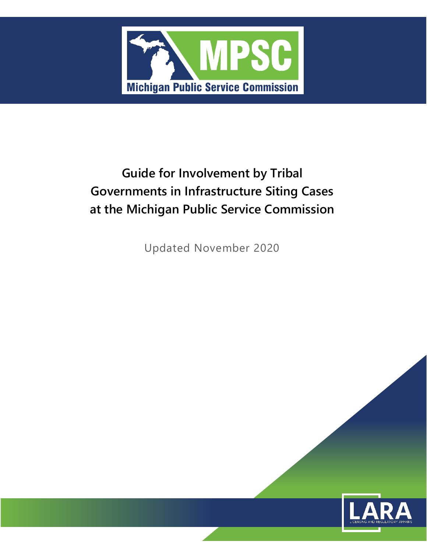

## **Guide for Involvement by Tribal Governments in Infrastructure Siting Cases at the Michigan Public Service Commission**

Updated November 2020

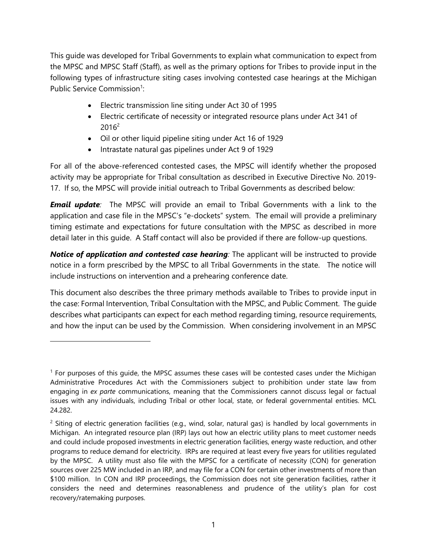This guide was developed for Tribal Governments to explain what communication to expect from the MPSC and MPSC Staff (Staff), as well as the primary options for Tribes to provide input in the following types of infrastructure siting cases involving contested case hearings at the Michigan Public Service Commission<sup>1</sup>:

- Electric transmission line siting under Act 30 of 1995
- Electric certificate of necessity or integrated resource plans under Act 341 of  $2016^2$
- Oil or other liquid pipeline siting under Act 16 of 1929
- Intrastate natural gas pipelines under Act 9 of 1929

For all of the above-referenced contested cases, the MPSC will identify whether the proposed activity may be appropriate for Tribal consultation as described in Executive Directive No. 2019- 17. If so, the MPSC will provide initial outreach to Tribal Governments as described below:

*Email update:* The MPSC will provide an email to Tribal Governments with a link to the application and case file in the MPSC's "e-dockets" system. The email will provide a preliminary timing estimate and expectations for future consultation with the MPSC as described in more detail later in this guide. A Staff contact will also be provided if there are follow-up questions.

**Notice of application and contested case hearing**: The applicant will be instructed to provide notice in a form prescribed by the MPSC to all Tribal Governments in the state. The notice will include instructions on intervention and a prehearing conference date.

This document also describes the three primary methods available to Tribes to provide input in the case: Formal Intervention, Tribal Consultation with the MPSC, and Public Comment. The guide describes what participants can expect for each method regarding timing, resource requirements, and how the input can be used by the Commission. When considering involvement in an MPSC

<sup>1</sup> For purposes of this guide, the MPSC assumes these cases will be contested cases under the Michigan Administrative Procedures Act with the Commissioners subject to prohibition under state law from engaging in *ex parte* communications, meaning that the Commissioners cannot discuss legal or factual issues with any individuals, including Tribal or other local, state, or federal governmental entities. MCL 24.282.

 $2$  Siting of electric generation facilities (e.g., wind, solar, natural gas) is handled by local governments in Michigan. An integrated resource plan (IRP) lays out how an electric utility plans to meet customer needs and could include proposed investments in electric generation facilities, energy waste reduction, and other programs to reduce demand for electricity. IRPs are required at least every five years for utilities regulated by the MPSC. A utility must also file with the MPSC for a certificate of necessity (CON) for generation sources over 225 MW included in an IRP, and may file for a CON for certain other investments of more than \$100 million. In CON and IRP proceedings, the Commission does not site generation facilities, rather it considers the need and determines reasonableness and prudence of the utility's plan for cost recovery/ratemaking purposes.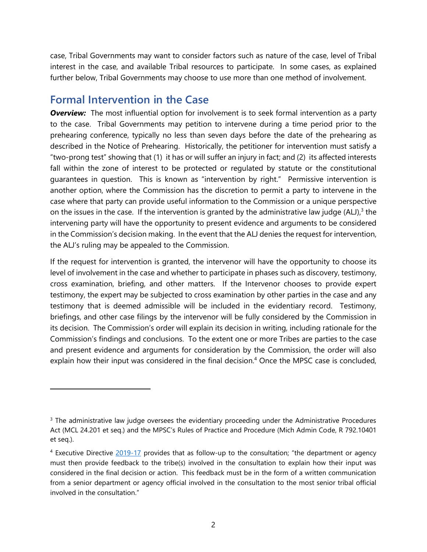case, Tribal Governments may want to consider factors such as nature of the case, level of Tribal interest in the case, and available Tribal resources to participate. In some cases, as explained further below, Tribal Governments may choose to use more than one method of involvement.

## **Formal Intervention in the Case**

**Overview:** The most influential option for involvement is to seek formal intervention as a party to the case. Tribal Governments may petition to intervene during a time period prior to the prehearing conference, typically no less than seven days before the date of the prehearing as described in the Notice of Prehearing. Historically, the petitioner for intervention must satisfy a "two-prong test" showing that (1) it has or will suffer an injury in fact; and (2) its affected interests fall within the zone of interest to be protected or regulated by statute or the constitutional guarantees in question. This is known as "intervention by right." Permissive intervention is another option, where the Commission has the discretion to permit a party to intervene in the case where that party can provide useful information to the Commission or a unique perspective on the issues in the case. If the intervention is granted by the administrative law judge (ALJ), $3$  the intervening party will have the opportunity to present evidence and arguments to be considered in the Commission's decision making. In the event that the ALJ denies the request for intervention, the ALJ's ruling may be appealed to the Commission.

If the request for intervention is granted, the intervenor will have the opportunity to choose its level of involvement in the case and whether to participate in phases such as discovery, testimony, cross examination, briefing, and other matters. If the Intervenor chooses to provide expert testimony, the expert may be subjected to cross examination by other parties in the case and any testimony that is deemed admissible will be included in the evidentiary record. Testimony, briefings, and other case filings by the intervenor will be fully considered by the Commission in its decision. The Commission's order will explain its decision in writing, including rationale for the Commission's findings and conclusions. To the extent one or more Tribes are parties to the case and present evidence and arguments for consideration by the Commission, the order will also explain how their input was considered in the final decision.<sup>4</sup> Once the MPSC case is concluded,

<sup>&</sup>lt;sup>3</sup> The administrative law judge oversees the evidentiary proceeding under the Administrative Procedures Act (MCL 24.201 et seq.) and the MPSC's Rules of Practice and Procedure (Mich Admin Code, R 792.10401 et seq.).

<sup>4</sup> Executive Directive [2019-17](https://gcc01.safelinks.protection.outlook.com/?url=https%3A%2F%2Flnks.gd%2Fl%2FeyJhbGciOiJIUzI1NiJ9.eyJidWxsZXRpbl9saW5rX2lkIjoxMDEsInVyaSI6ImJwMjpjbGljayIsImJ1bGxldGluX2lkIjoiMjAxOTEwMzEuMTIyODY4MzEiLCJ1cmwiOiJodHRwczovL2NvbnRlbnQuZ292ZGVsaXZlcnkuY29tL2F0dGFjaG1lbnRzL01JRU9HLzIwMTkvMTAvMzEvZmlsZV9hdHRhY2htZW50cy8xMzE1NDQ3L0V4ZWN1dGl2ZSUyMERpcmVjdGl2ZSUyMDIwMTktMTcucGRmIn0.7G5tzYQWi6YAXP3cgd6M0vmH81IbZKcBZQnpvy3pJ2w%2Fbr%2F70779486578-l&data=02%7C01%7Csaylort%40michigan.gov%7Cc4ef534fe5e049c4fd8e08d75e33ea25%7Cd5fb7087377742ad966a892ef47225d1%7C0%7C0%7C637081449374349120&sdata=keSfHafWH1RU2WqUVlBqQlXrgrKyBmgIiv%2FFR977ecI%3D&reserved=0) provides that as follow-up to the consultation; "the department or agency must then provide feedback to the tribe(s) involved in the consultation to explain how their input was considered in the final decision or action. This feedback must be in the form of a written communication from a senior department or agency official involved in the consultation to the most senior tribal official involved in the consultation."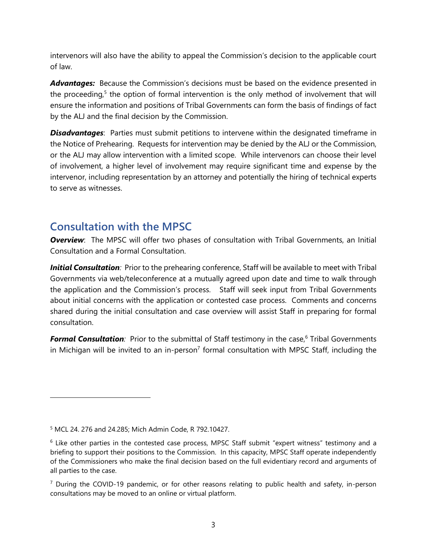intervenors will also have the ability to appeal the Commission's decision to the applicable court of law.

Advantages: Because the Commission's decisions must be based on the evidence presented in the proceeding,<sup>5</sup> the option of formal intervention is the only method of involvement that will ensure the information and positions of Tribal Governments can form the basis of findings of fact by the ALJ and the final decision by the Commission.

**Disadvantages**: Parties must submit petitions to intervene within the designated timeframe in the Notice of Prehearing. Requests for intervention may be denied by the ALJ or the Commission, or the ALJ may allow intervention with a limited scope. While intervenors can choose their level of involvement, a higher level of involvement may require significant time and expense by the intervenor, including representation by an attorney and potentially the hiring of technical experts to serve as witnesses.

## **Consultation with the MPSC**

**Overview**: The MPSC will offer two phases of consultation with Tribal Governments, an Initial Consultation and a Formal Consultation.

*Initial Consultation:* Prior to the prehearing conference, Staff will be available to meet with Tribal Governments via web/teleconference at a mutually agreed upon date and time to walk through the application and the Commission's process. Staff will seek input from Tribal Governments about initial concerns with the application or contested case process. Comments and concerns shared during the initial consultation and case overview will assist Staff in preparing for formal consultation.

**Formal Consultation**: Prior to the submittal of Staff testimony in the case,<sup>6</sup> Tribal Governments in Michigan will be invited to an in-person<sup>7</sup> formal consultation with MPSC Staff, including the

<sup>5</sup> MCL 24. 276 and 24.285; Mich Admin Code, R 792.10427.

<sup>6</sup> Like other parties in the contested case process, MPSC Staff submit "expert witness" testimony and a briefing to support their positions to the Commission. In this capacity, MPSC Staff operate independently of the Commissioners who make the final decision based on the full evidentiary record and arguments of all parties to the case.

 $<sup>7</sup>$  During the COVID-19 pandemic, or for other reasons relating to public health and safety, in-person</sup> consultations may be moved to an online or virtual platform.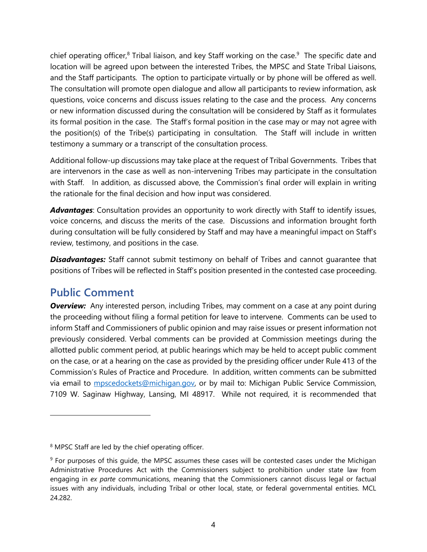chief operating officer,<sup>8</sup> Tribal liaison, and key Staff working on the case.<sup>9</sup> The specific date and location will be agreed upon between the interested Tribes, the MPSC and State Tribal Liaisons, and the Staff participants. The option to participate virtually or by phone will be offered as well. The consultation will promote open dialogue and allow all participants to review information, ask questions, voice concerns and discuss issues relating to the case and the process. Any concerns or new information discussed during the consultation will be considered by Staff as it formulates its formal position in the case. The Staff's formal position in the case may or may not agree with the position(s) of the Tribe(s) participating in consultation. The Staff will include in written testimony a summary or a transcript of the consultation process.

Additional follow-up discussions may take place at the request of Tribal Governments. Tribes that are intervenors in the case as well as non-intervening Tribes may participate in the consultation with Staff. In addition, as discussed above, the Commission's final order will explain in writing the rationale for the final decision and how input was considered.

*Advantages*: Consultation provides an opportunity to work directly with Staff to identify issues, voice concerns, and discuss the merits of the case. Discussions and information brought forth during consultation will be fully considered by Staff and may have a meaningful impact on Staff's review, testimony, and positions in the case.

**Disadvantages:** Staff cannot submit testimony on behalf of Tribes and cannot quarantee that positions of Tribes will be reflected in Staff's position presented in the contested case proceeding.

## **Public Comment**

**Overview:** Any interested person, including Tribes, may comment on a case at any point during the proceeding without filing a formal petition for leave to intervene. Comments can be used to inform Staff and Commissioners of public opinion and may raise issues or present information not previously considered. Verbal comments can be provided at Commission meetings during the allotted public comment period, at public hearings which may be held to accept public comment on the case, or at a hearing on the case as provided by the presiding officer under Rule 413 of the Commission's Rules of Practice and Procedure. In addition, written comments can be submitted via email to **mpscedockets@michigan.gov**, or by mail to: Michigan Public Service Commission, 7109 W. Saginaw Highway, Lansing, MI 48917. While not required, it is recommended that

<sup>&</sup>lt;sup>8</sup> MPSC Staff are led by the chief operating officer.

<sup>&</sup>lt;sup>9</sup> For purposes of this quide, the MPSC assumes these cases will be contested cases under the Michigan Administrative Procedures Act with the Commissioners subject to prohibition under state law from engaging in *ex parte* communications, meaning that the Commissioners cannot discuss legal or factual issues with any individuals, including Tribal or other local, state, or federal governmental entities. MCL 24.282.